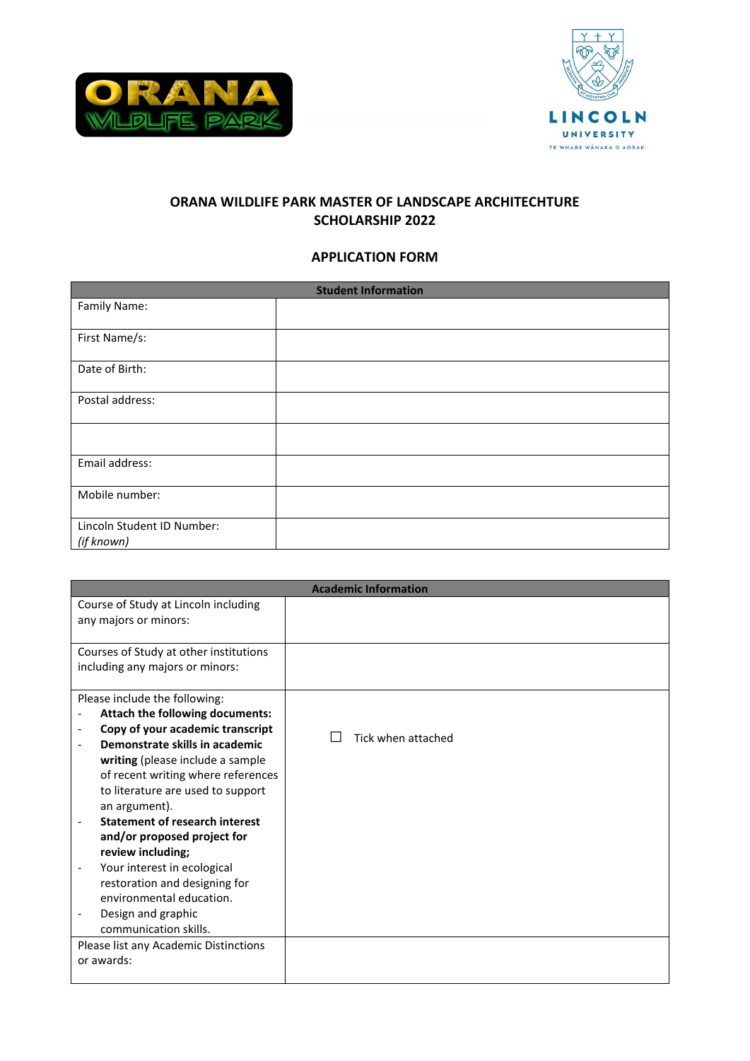



# **ORANA WILDLIFE PARK MASTER OF LANDSCAPE ARCHITECHTURE SCHOLARSHIP 2022**

## **APPLICATION FORM**

| <b>Student Information</b> |  |  |
|----------------------------|--|--|
| Family Name:               |  |  |
| First Name/s:              |  |  |
| Date of Birth:             |  |  |
| Postal address:            |  |  |
|                            |  |  |
| Email address:             |  |  |
| Mobile number:             |  |  |
| Lincoln Student ID Number: |  |  |
| (if known)                 |  |  |

| <b>Academic Information</b>            |                    |  |
|----------------------------------------|--------------------|--|
| Course of Study at Lincoln including   |                    |  |
| any majors or minors:                  |                    |  |
|                                        |                    |  |
| Courses of Study at other institutions |                    |  |
| including any majors or minors:        |                    |  |
|                                        |                    |  |
| Please include the following:          |                    |  |
| Attach the following documents:        |                    |  |
| Copy of your academic transcript       | Tick when attached |  |
| Demonstrate skills in academic         |                    |  |
| writing (please include a sample       |                    |  |
| of recent writing where references     |                    |  |
| to literature are used to support      |                    |  |
| an argument).                          |                    |  |
| <b>Statement of research interest</b>  |                    |  |
| and/or proposed project for            |                    |  |
| review including;                      |                    |  |
| Your interest in ecological            |                    |  |
| restoration and designing for          |                    |  |
| environmental education.               |                    |  |
| Design and graphic                     |                    |  |
| communication skills.                  |                    |  |
| Please list any Academic Distinctions  |                    |  |
| or awards:                             |                    |  |
|                                        |                    |  |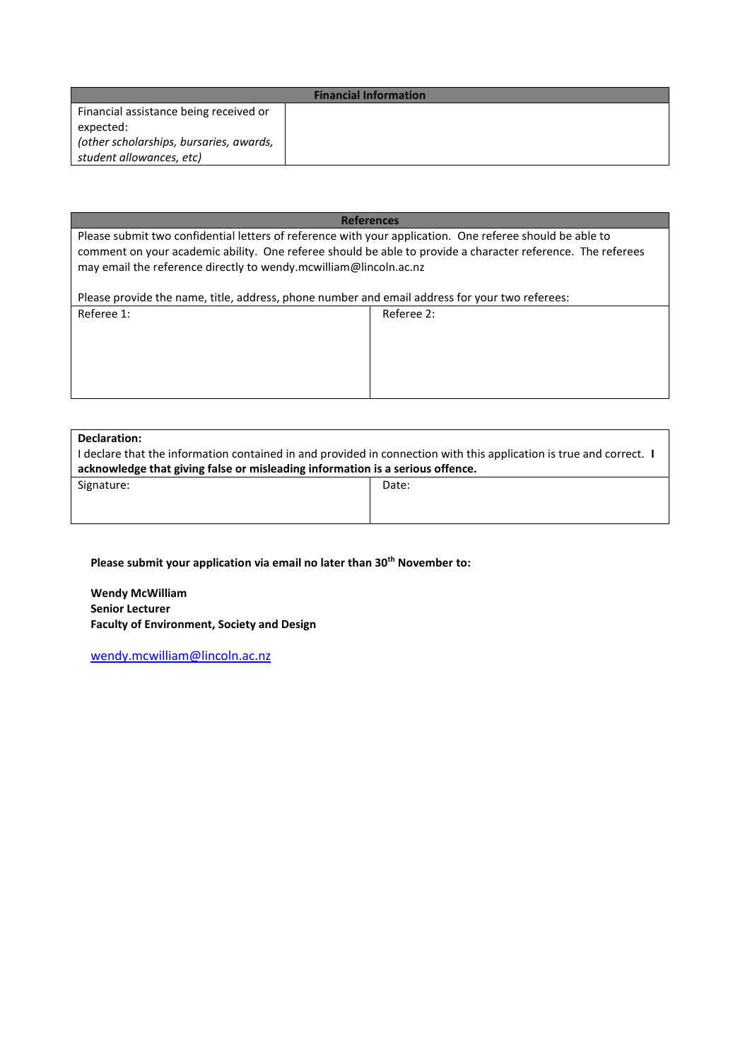| <b>Financial Information</b>                                        |  |  |
|---------------------------------------------------------------------|--|--|
| Financial assistance being received or<br>expected:                 |  |  |
| (other scholarships, bursaries, awards,<br>student allowances, etc) |  |  |

## **References** Please submit two confidential letters of reference with your application. One referee should be able to comment on your academic ability. One referee should be able to provide a character reference. The referees may email the reference directly to wendy.mcwilliam@lincoln.ac.nz Please provide the name, title, address, phone number and email address for your two referees:

| Please provide the name, title, address, priorie number and email address for your two referees. |            |  |
|--------------------------------------------------------------------------------------------------|------------|--|
| Referee 1:                                                                                       | Referee 2: |  |
|                                                                                                  |            |  |
|                                                                                                  |            |  |
|                                                                                                  |            |  |
|                                                                                                  |            |  |
|                                                                                                  |            |  |
|                                                                                                  |            |  |
|                                                                                                  |            |  |

#### **Declaration:**

| I declare that the information contained in and provided in connection with this application is true and correct. I |       |  |  |
|---------------------------------------------------------------------------------------------------------------------|-------|--|--|
| acknowledge that giving false or misleading information is a serious offence.                                       |       |  |  |
| Signature:                                                                                                          | Date: |  |  |

## **Please submit your application via email no later than 30th November to:**

**Wendy McWilliam Senior Lecturer Faculty of Environment, Society and Design**

[wendy.mcwilliam@lincoln.ac.nz](mailto:wendy.mcwilliam@lincoln.ac.nz)